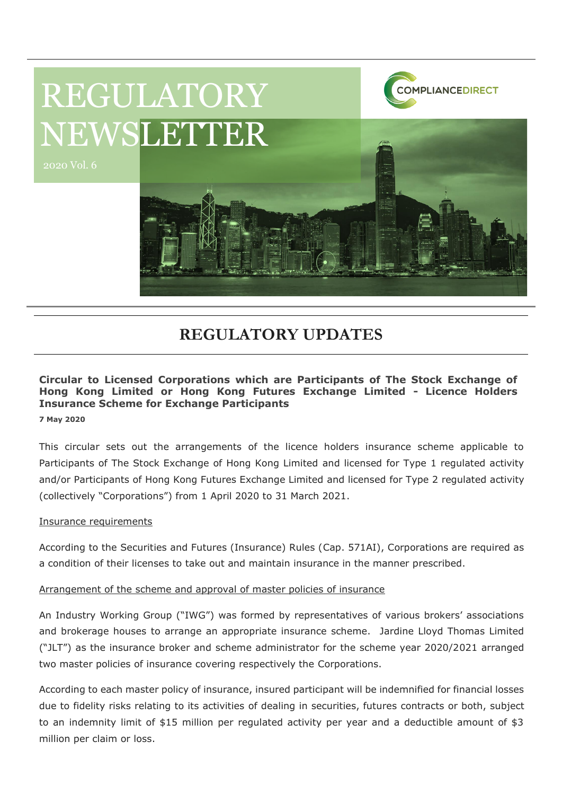

# **REGULATORY UPDATES**

### **Circular to Licensed Corporations which are Participants of The Stock Exchange of Hong Kong Limited or Hong Kong Futures Exchange Limited - Licence Holders Insurance Scheme for Exchange Participants**

**7 May 2020**

This circular sets out the arrangements of the licence holders insurance scheme applicable to Participants of The Stock Exchange of Hong Kong Limited and licensed for Type 1 regulated activity and/or Participants of Hong Kong Futures Exchange Limited and licensed for Type 2 regulated activity (collectively "Corporations") from 1 April 2020 to 31 March 2021.

### Insurance requirements

According to the Securities and Futures (Insurance) Rules (Cap. 571AI), Corporations are required as a condition of their licenses to take out and maintain insurance in the manner prescribed.

#### Arrangement of the scheme and approval of master policies of insurance

An Industry Working Group ("IWG") was formed by representatives of various brokers' associations and brokerage houses to arrange an appropriate insurance scheme. Jardine Lloyd Thomas Limited ("JLT") as the insurance broker and scheme administrator for the scheme year 2020/2021 arranged two master policies of insurance covering respectively the Corporations.

According to each master policy of insurance, insured participant will be indemnified for financial losses due to fidelity risks relating to its activities of dealing in securities, futures contracts or both, subject to an indemnity limit of \$15 million per regulated activity per year and a deductible amount of \$3 million per claim or loss.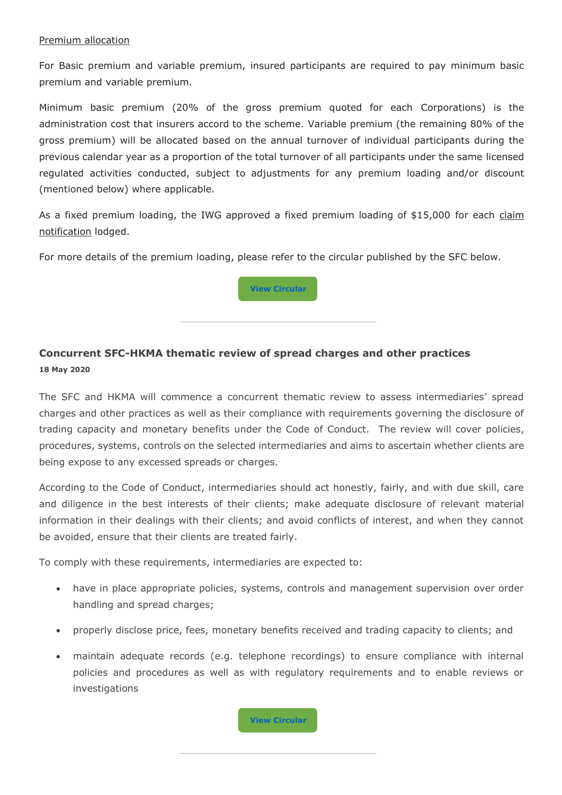#### Premium allocation

For Basic premium and variable premium, insured participants are required to pay minimum basic premium and variable premium.

Minimum basic premium (20% of the gross premium quoted for each Corporations) is the administration cost that insurers accord to the scheme. Variable premium (the remaining 80% of the gross premium) will be allocated based on the annual turnover of individual participants during the previous calendar year as a proportion of the total turnover of all participants under the same licensed regulated activities conducted, subject to adjustments for any premium loading and/or discount (mentioned below) where applicable.

As a fixed premium loading, the IWG approved a fixed premium loading of \$15,000 for each claim notification lodged.

For more details of the premium loading, please refer to the circular published by the SFC below.



## **Concurrent SFC-HKMA thematic review of spread charges and other practices 18 May 2020**

The SFC and HKMA will commence a concurrent thematic review to assess intermediaries' spread charges and other practices as well as their compliance with requirements governing the disclosure of trading capacity and monetary benefits under the Code of Conduct. The review will cover policies, procedures, systems, controls on the selected intermediaries and aims to ascertain whether clients are being expose to any excessed spreads or charges.

According to the Code of Conduct, intermediaries should act honestly, fairly, and with due skill, care and diligence in the best interests of their clients; make adequate disclosure of relevant material information in their dealings with their clients; and avoid conflicts of interest, and when they cannot be avoided, ensure that their clients are treated fairly.

To comply with these requirements, intermediaries are expected to:

- have in place appropriate policies, systems, controls and management supervision over order handling and spread charges;
- properly disclose price, fees, monetary benefits received and trading capacity to clients; and
- maintain adequate records (e.g. telephone recordings) to ensure compliance with internal policies and procedures as well as with regulatory requirements and to enable reviews or investigations

**[View](https://www.sfc.hk/edistributionWeb/gateway/EN/circular/suitability/doc?refNo=20EC44) [Circular](https://www.sfc.hk/edistributionWeb/gateway/EN/circular/suitability/doc?refNo=20EC44)**